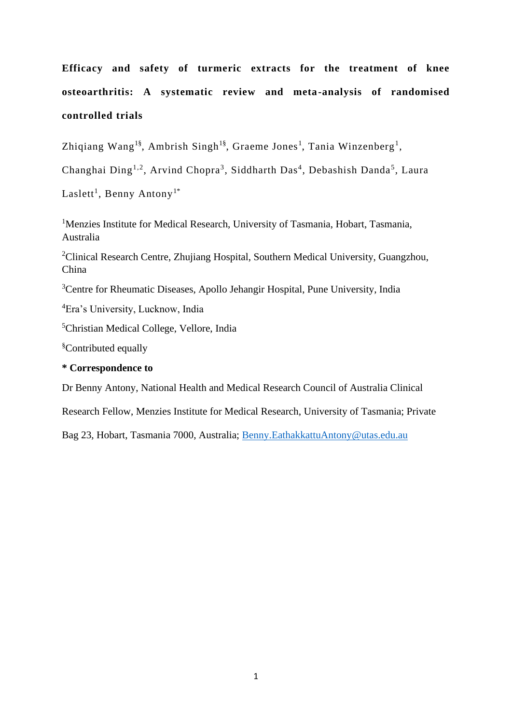# **Efficacy and safety of turmeric extracts for the treatment of knee osteoarthritis: A systematic review and meta-analysis of randomised controlled trials**

Zhiqiang Wang<sup>1§</sup>, Ambrish Singh<sup>1§</sup>, Graeme Jones<sup>1</sup>, Tania Winzenberg<sup>1</sup>,

Changhai Ding<sup>1,2</sup>, Arvind Chopra<sup>3</sup>, Siddharth Das<sup>4</sup>, Debashish Danda<sup>5</sup>, Laura

Laslett<sup>1</sup>, Benny Antony<sup>1\*</sup>

<sup>1</sup>Menzies Institute for Medical Research, University of Tasmania, Hobart, Tasmania, Australia

<sup>2</sup>Clinical Research Centre, Zhujiang Hospital, Southern Medical University, Guangzhou, China

<sup>3</sup>Centre for Rheumatic Diseases, Apollo Jehangir Hospital, Pune University, India

<sup>4</sup>Era's University, Lucknow, India

<sup>5</sup>Christian Medical College, Vellore, India

§Contributed equally

## **\* Correspondence to**

Dr Benny Antony, National Health and Medical Research Council of Australia Clinical

Research Fellow, Menzies Institute for Medical Research, University of Tasmania; Private

Bag 23, Hobart, Tasmania 7000, Australia; [Benny.EathakkattuAntony@utas.edu.au](mailto:Benny.EathakkattuAntony@utas.edu.au)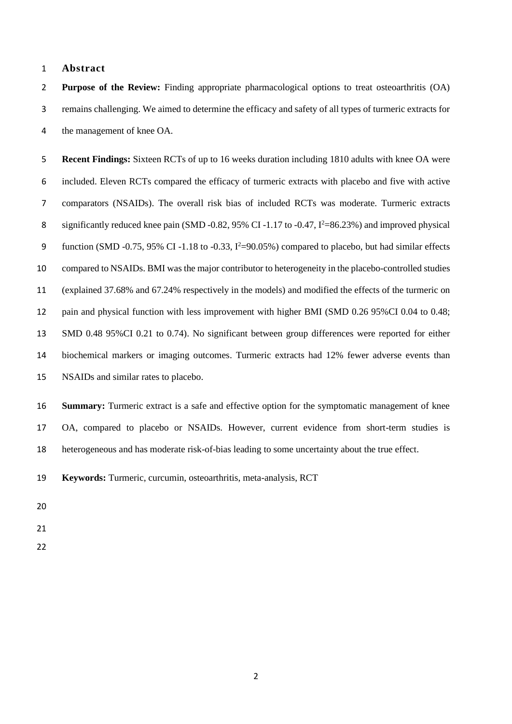## **Abstract**

 **Purpose of the Review:** Finding appropriate pharmacological options to treat osteoarthritis (OA) remains challenging. We aimed to determine the efficacy and safety of all types of turmeric extracts for the management of knee OA.

 **Recent Findings:** Sixteen RCTs of up to 16 weeks duration including 1810 adults with knee OA were included. Eleven RCTs compared the efficacy of turmeric extracts with placebo and five with active comparators (NSAIDs). The overall risk bias of included RCTs was moderate. Turmeric extracts 8 significantly reduced knee pain (SMD -0.82, 95% CI -1.17 to -0.47,  $I^2 = 86.23\%$ ) and improved physical 9 function (SMD -0.75, 95% CI -1.18 to -0.33,  $I^2=90.05%$ ) compared to placebo, but had similar effects compared to NSAIDs. BMI was the major contributor to heterogeneity in the placebo-controlled studies (explained 37.68% and 67.24% respectively in the models) and modified the effects of the turmeric on pain and physical function with less improvement with higher BMI (SMD 0.26 95%CI 0.04 to 0.48; SMD 0.48 95%CI 0.21 to 0.74). No significant between group differences were reported for either biochemical markers or imaging outcomes. Turmeric extracts had 12% fewer adverse events than NSAIDs and similar rates to placebo.

 **Summary:** Turmeric extract is a safe and effective option for the symptomatic management of knee OA, compared to placebo or NSAIDs. However, current evidence from short-term studies is heterogeneous and has moderate risk-of-bias leading to some uncertainty about the true effect.

**Keywords:** Turmeric, curcumin, osteoarthritis, meta-analysis, RCT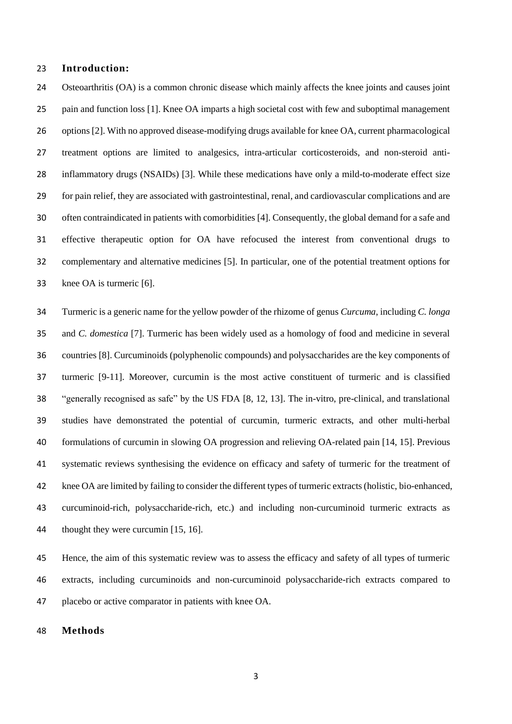## **Introduction:**

 Osteoarthritis (OA) is a common chronic disease which mainly affects the knee joints and causes joint pain and function loss [1]. Knee OA imparts a high societal cost with few and suboptimal management options [2]. With no approved disease-modifying drugs available for knee OA, current pharmacological treatment options are limited to analgesics, intra-articular corticosteroids, and non-steroid anti- inflammatory drugs (NSAIDs) [3]. While these medications have only a mild-to-moderate effect size for pain relief, they are associated with gastrointestinal, renal, and cardiovascular complications and are often contraindicated in patients with comorbidities [4]. Consequently, the global demand for a safe and effective therapeutic option for OA have refocused the interest from conventional drugs to complementary and alternative medicines [5]. In particular, one of the potential treatment options for knee OA is turmeric [6].

 Turmeric is a generic name for the yellow powder of the rhizome of genus *Curcuma*, including *C. longa* and *C. domestica* [7]. Turmeric has been widely used as a homology of food and medicine in several countries [8]. Curcuminoids (polyphenolic compounds) and polysaccharides are the key components of turmeric [9-11]. Moreover, curcumin is the most active constituent of turmeric and is classified "generally recognised as safe" by the US FDA [8, 12, 13]. The in-vitro, pre-clinical, and translational studies have demonstrated the potential of curcumin, turmeric extracts, and other multi-herbal formulations of curcumin in slowing OA progression and relieving OA-related pain [14, 15]. Previous systematic reviews synthesising the evidence on efficacy and safety of turmeric for the treatment of knee OA are limited by failing to consider the different types of turmeric extracts (holistic, bio-enhanced, curcuminoid-rich, polysaccharide-rich, etc.) and including non-curcuminoid turmeric extracts as thought they were curcumin [15, 16].

 Hence, the aim of this systematic review was to assess the efficacy and safety of all types of turmeric extracts, including curcuminoids and non-curcuminoid polysaccharide-rich extracts compared to placebo or active comparator in patients with knee OA.

**Methods**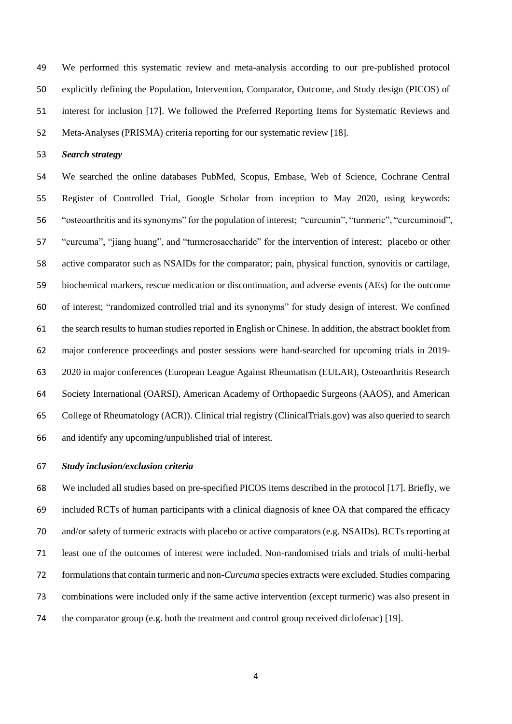We performed this systematic review and meta-analysis according to our pre-published protocol explicitly defining the Population, Intervention, Comparator, Outcome, and Study design (PICOS) of interest for inclusion [17]. We followed the Preferred Reporting Items for Systematic Reviews and Meta-Analyses (PRISMA) criteria reporting for our systematic review [18].

*Search strategy*

 We searched the online databases PubMed, Scopus, Embase, Web of Science, Cochrane Central Register of Controlled Trial, Google Scholar from inception to May 2020, using keywords: "osteoarthritis and its synonyms" for the population of interest; "curcumin", "turmeric", "curcuminoid", "curcuma", "jiang huang", and "turmerosaccharide" for the intervention of interest; placebo or other active comparator such as NSAIDs for the comparator; pain, physical function, synovitis or cartilage, biochemical markers, rescue medication or discontinuation, and adverse events (AEs) for the outcome of interest; "randomized controlled trial and its synonyms" for study design of interest. We confined the search results to human studies reported in English or Chinese. In addition, the abstract booklet from major conference proceedings and poster sessions were hand-searched for upcoming trials in 2019- 2020 in major conferences (European League Against Rheumatism (EULAR), Osteoarthritis Research Society International (OARSI), American Academy of Orthopaedic Surgeons (AAOS), and American College of Rheumatology (ACR)). Clinical trial registry (ClinicalTrials.gov) was also queried to search and identify any upcoming/unpublished trial of interest.

## *Study inclusion/exclusion criteria*

 We included all studies based on pre-specified PICOS items described in the protocol [17]. Briefly, we included RCTs of human participants with a clinical diagnosis of knee OA that compared the efficacy and/or safety of turmeric extracts with placebo or active comparators (e.g. NSAIDs). RCTs reporting at least one of the outcomes of interest were included. Non-randomised trials and trials of multi-herbal formulations that contain turmeric and non-*Curcuma* species extracts were excluded. Studies comparing combinations were included only if the same active intervention (except turmeric) was also present in the comparator group (e.g. both the treatment and control group received diclofenac) [19].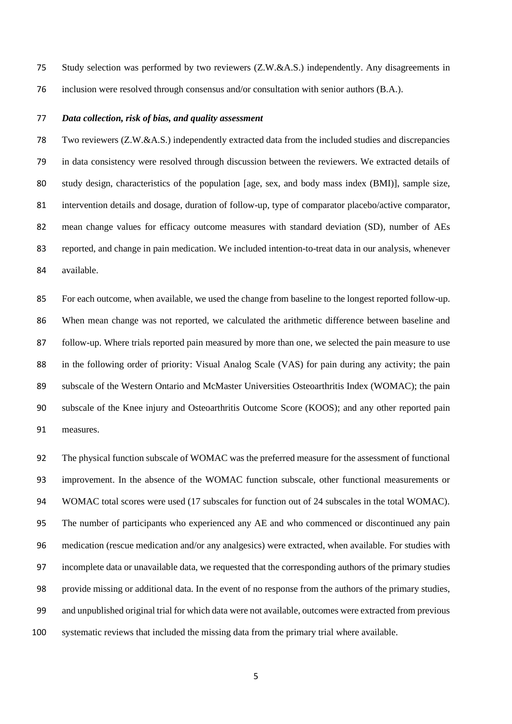- Study selection was performed by two reviewers (Z.W.&A.S.) independently. Any disagreements in
- inclusion were resolved through consensus and/or consultation with senior authors (B.A.).

## *Data collection, risk of bias, and quality assessment*

 Two reviewers (Z.W.&A.S.) independently extracted data from the included studies and discrepancies in data consistency were resolved through discussion between the reviewers. We extracted details of study design, characteristics of the population [age, sex, and body mass index (BMI)], sample size, intervention details and dosage, duration of follow-up, type of comparator placebo/active comparator, mean change values for efficacy outcome measures with standard deviation (SD), number of AEs reported, and change in pain medication. We included intention-to-treat data in our analysis, whenever available.

 For each outcome, when available, we used the change from baseline to the longest reported follow-up. When mean change was not reported, we calculated the arithmetic difference between baseline and follow-up. Where trials reported pain measured by more than one, we selected the pain measure to use in the following order of priority: Visual Analog Scale (VAS) for pain during any activity; the pain 89 subscale of the Western Ontario and McMaster Universities Osteoarthritis Index (WOMAC); the pain subscale of the Knee injury and Osteoarthritis Outcome Score (KOOS); and any other reported pain measures.

 The physical function subscale of WOMAC was the preferred measure for the assessment of functional improvement. In the absence of the WOMAC function subscale, other functional measurements or WOMAC total scores were used (17 subscales for function out of 24 subscales in the total WOMAC). The number of participants who experienced any AE and who commenced or discontinued any pain medication (rescue medication and/or any analgesics) were extracted, when available. For studies with incomplete data or unavailable data, we requested that the corresponding authors of the primary studies provide missing or additional data. In the event of no response from the authors of the primary studies, and unpublished original trial for which data were not available, outcomes were extracted from previous systematic reviews that included the missing data from the primary trial where available.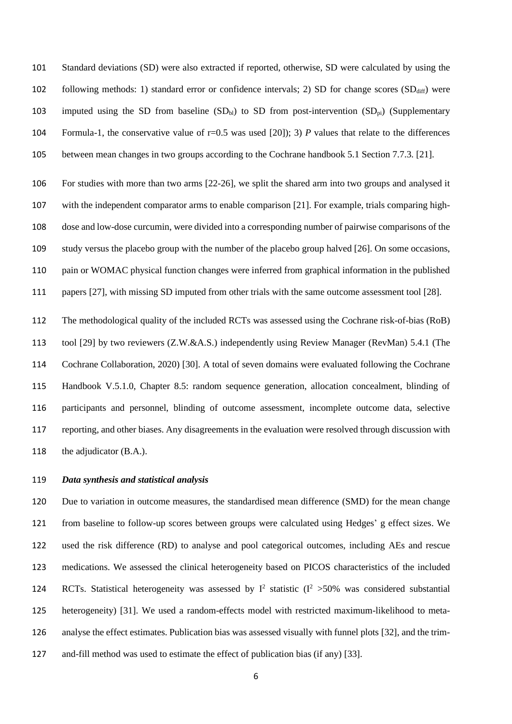Standard deviations (SD) were also extracted if reported, otherwise, SD were calculated by using the 102 following methods: 1) standard error or confidence intervals; 2) SD for change scores (SD<sub>diff</sub>) were 103 imputed using the SD from baseline  $(SD_{bl})$  to SD from post-intervention  $(SD_{bl})$  (Supplementary Formula-1, the conservative value of r=0.5 was used [20]); 3) *P* values that relate to the differences between mean changes in two groups according to the Cochrane handbook 5.1 Section 7.7.3. [21].

 For studies with more than two arms [22-26], we split the shared arm into two groups and analysed it with the independent comparator arms to enable comparison [21]. For example, trials comparing high- dose and low-dose curcumin, were divided into a corresponding number of pairwise comparisons of the study versus the placebo group with the number of the placebo group halved [26]. On some occasions, pain or WOMAC physical function changes were inferred from graphical information in the published papers [27], with missing SD imputed from other trials with the same outcome assessment tool [28].

 The methodological quality of the included RCTs was assessed using the Cochrane risk-of-bias (RoB) tool [29] by two reviewers (Z.W.&A.S.) independently using Review Manager (RevMan) 5.4.1 (The Cochrane Collaboration, 2020) [30]. A total of seven domains were evaluated following the Cochrane Handbook V.5.1.0, Chapter 8.5: random sequence generation, allocation concealment, blinding of participants and personnel, blinding of outcome assessment, incomplete outcome data, selective reporting, and other biases. Any disagreements in the evaluation were resolved through discussion with 118 the adjudicator (B.A.).

#### *Data synthesis and statistical analysis*

 Due to variation in outcome measures, the standardised mean difference (SMD) for the mean change from baseline to follow-up scores between groups were calculated using Hedges' g effect sizes. We used the risk difference (RD) to analyse and pool categorical outcomes, including AEs and rescue medications. We assessed the clinical heterogeneity based on PICOS characteristics of the included 124 RCTs. Statistical heterogeneity was assessed by  $I^2$  statistic ( $I^2$  >50% was considered substantial heterogeneity) [31]. We used a random-effects model with restricted maximum-likelihood to meta- analyse the effect estimates. Publication bias was assessed visually with funnel plots [32], and the trim-and-fill method was used to estimate the effect of publication bias (if any) [33].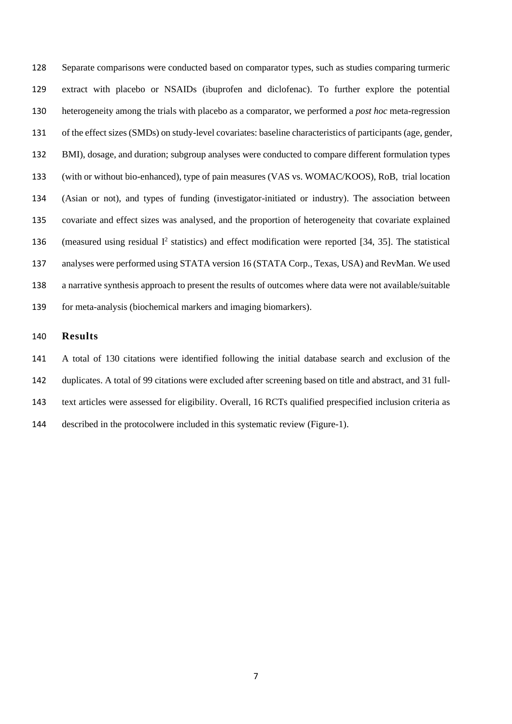Separate comparisons were conducted based on comparator types, such as studies comparing turmeric extract with placebo or NSAIDs (ibuprofen and diclofenac). To further explore the potential heterogeneity among the trials with placebo as a comparator, we performed a *post hoc* meta-regression of the effect sizes (SMDs) on study-level covariates: baseline characteristics of participants (age, gender, BMI), dosage, and duration; subgroup analyses were conducted to compare different formulation types (with or without bio-enhanced), type of pain measures (VAS vs. WOMAC/KOOS), RoB, trial location (Asian or not), and types of funding (investigator-initiated or industry). The association between covariate and effect sizes was analysed, and the proportion of heterogeneity that covariate explained 136 (measured using residual  $I^2$  statistics) and effect modification were reported [34, 35]. The statistical analyses were performed using STATA version 16 (STATA Corp., Texas, USA) and RevMan. We used a narrative synthesis approach to present the results of outcomes where data were not available/suitable for meta-analysis (biochemical markers and imaging biomarkers).

## **Results**

 A total of 130 citations were identified following the initial database search and exclusion of the duplicates. A total of 99 citations were excluded after screening based on title and abstract, and 31 full- text articles were assessed for eligibility. Overall, 16 RCTs qualified prespecified inclusion criteria as described in the protocolwere included in this systematic review (Figure-1).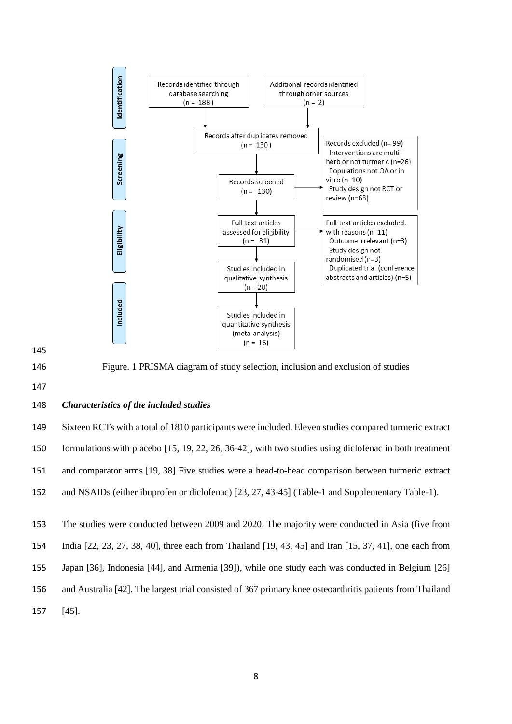



Figure. 1 PRISMA diagram of study selection, inclusion and exclusion of studies

#### *Characteristics of the included studies*

 Sixteen RCTs with a total of 1810 participants were included. Eleven studies compared turmeric extract formulations with placebo [15, 19, 22, 26, 36-42], with two studies using diclofenac in both treatment and comparator arms.[19, 38] Five studies were a head-to-head comparison between turmeric extract and NSAIDs (either ibuprofen or diclofenac) [23, 27, 43-45] (Table-1 and Supplementary Table-1).

The studies were conducted between 2009 and 2020. The majority were conducted in Asia (five from

India [22, 23, 27, 38, 40], three each from Thailand [19, 43, 45] and Iran [15, 37, 41], one each from

Japan [36], Indonesia [44], and Armenia [39]), while one study each was conducted in Belgium [26]

- and Australia [42]. The largest trial consisted of 367 primary knee osteoarthritis patients from Thailand
- [45].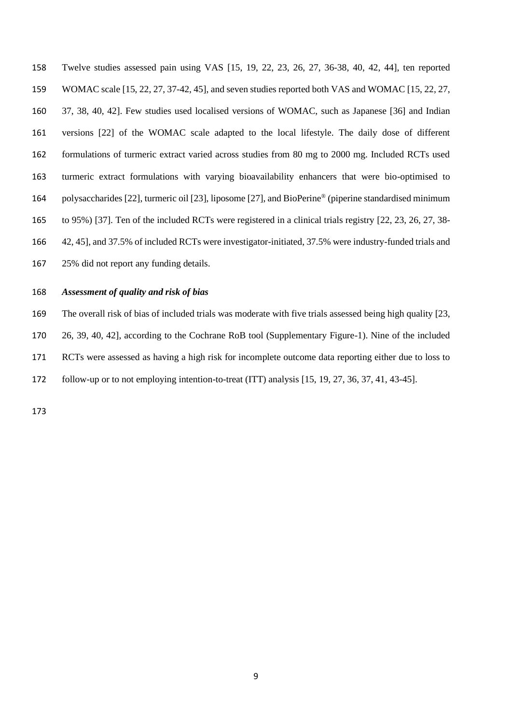Twelve studies assessed pain using VAS [15, 19, 22, 23, 26, 27, 36-38, 40, 42, 44], ten reported WOMAC scale [15, 22, 27, 37-42, 45], and seven studies reported both VAS and WOMAC [15, 22, 27, 37, 38, 40, 42]. Few studies used localised versions of WOMAC, such as Japanese [36] and Indian versions [22] of the WOMAC scale adapted to the local lifestyle. The daily dose of different formulations of turmeric extract varied across studies from 80 mg to 2000 mg. Included RCTs used turmeric extract formulations with varying bioavailability enhancers that were bio-optimised to 164 polysaccharides [22], turmeric oil [23], liposome [27], and BioPerine® (piperine standardised minimum to 95%) [37]. Ten of the included RCTs were registered in a clinical trials registry [22, 23, 26, 27, 38- 42, 45], and 37.5% of included RCTs were investigator-initiated, 37.5% were industry-funded trials and 25% did not report any funding details.

#### *Assessment of quality and risk of bias*

 The overall risk of bias of included trials was moderate with five trials assessed being high quality [23, 26, 39, 40, 42], according to the Cochrane RoB tool (Supplementary Figure-1). Nine of the included RCTs were assessed as having a high risk for incomplete outcome data reporting either due to loss to follow-up or to not employing intention-to-treat (ITT) analysis [15, 19, 27, 36, 37, 41, 43-45].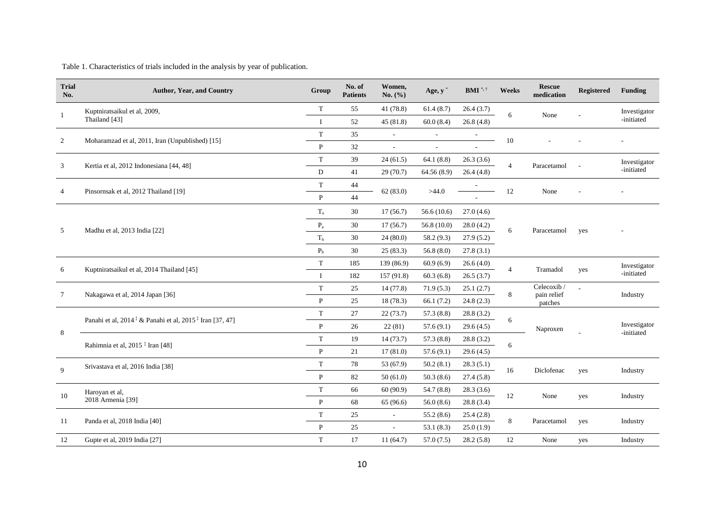Table 1. Characteristics of trials included in the analysis by year of publication.

| <b>Trial</b><br>No. | <b>Author, Year, and Country</b>                                                | Group                   | No. of<br><b>Patients</b> | Women,<br>No. $(\% )$       | Age, $y^*$                  | $\mathbf{BMI}$ *,†       | Weeks          | <b>Rescue</b><br>medication | Registered | <b>Funding</b>             |
|---------------------|---------------------------------------------------------------------------------|-------------------------|---------------------------|-----------------------------|-----------------------------|--------------------------|----------------|-----------------------------|------------|----------------------------|
|                     | Kuptniratsaikul et al, 2009,                                                    |                         | 55                        | 41 (78.8)                   | 61.4(8.7)                   | 26.4(3.7)                | 6              | None                        |            | Investigator               |
|                     | Thailand [43]                                                                   | $\mathbf{I}$            | 52                        | 45(81.8)                    | 60.0(8.4)                   | 26.8(4.8)                |                |                             |            | -initiated                 |
| $\overline{2}$      | Moharamzad et al, 2011, Iran (Unpublished) [15]                                 | $\mathbf T$             | 35                        | $\blacksquare$              | $\mathcal{L}_{\mathcal{A}}$ | $\overline{\phantom{a}}$ | 10             |                             |            |                            |
|                     |                                                                                 | P                       | 32                        |                             |                             |                          |                |                             |            |                            |
| 3                   | Kertia et al, 2012 Indonesiana [44, 48]                                         | $\mathbf T$             | 39                        | 24(61.5)                    | 64.1(8.8)                   | 26.3(3.6)                | $\overline{4}$ | Paracetamol                 |            | Investigator<br>-initiated |
|                     |                                                                                 | D                       | 41                        | 29(70.7)                    | 64.56(8.9)                  | 26.4(4.8)                |                |                             |            |                            |
|                     |                                                                                 | $\mathbf T$             | 44                        | 62(83.0)                    | >44.0                       |                          | 12             | None                        |            |                            |
|                     | Pinsornsak et al, 2012 Thailand [19]                                            | P                       | 44                        |                             |                             |                          |                |                             |            |                            |
| 5                   | Madhu et al, 2013 India [22]                                                    | $T_{a}$                 | 30                        | 17(56.7)                    | 56.6(10.6)                  | 27.0(4.6)                |                | Paracetamol                 | yes        |                            |
|                     |                                                                                 | $\mathbf{P}_{\text{a}}$ | 30                        | 17(56.7)                    | 56.8(10.0)                  | 28.0(4.2)                | 6              |                             |            |                            |
|                     |                                                                                 | T <sub>b</sub>          | 30                        | 24(80.0)                    | 58.2 (9.3)                  | 27.9(5.2)                |                |                             |            |                            |
|                     |                                                                                 | P <sub>b</sub>          | 30                        | 25(83.3)                    | 56.8(8.0)                   | 27.8(3.1)                |                |                             |            |                            |
|                     |                                                                                 | $\mathbf T$             | 185                       | 139 (86.9)                  | 60.9(6.9)                   | 26.6(4.0)                | $\overline{4}$ | Tramadol                    |            | Investigator<br>-initiated |
| 6                   | Kuptniratsaikul et al, 2014 Thailand [45]                                       | <b>I</b>                | 182                       | 157 (91.8)                  | 60.3(6.8)                   | 26.5(3.7)                |                |                             | yes        |                            |
|                     |                                                                                 |                         | 25                        | 14(77.8)                    | 71.9(5.3)                   | 25.1(2.7)                |                | Celecoxib /                 |            | Industry                   |
| 7                   | Nakagawa et al, 2014 Japan [36]                                                 | $\mathbf{P}$            | 25                        | 18(78.3)                    | 66.1(7.2)                   | 24.8(2.3)                | 8              | pain relief<br>patches      |            |                            |
|                     |                                                                                 | $\mathbf T$             | 27                        | 22(73.7)                    | 57.3 (8.8)                  | 28.8(3.2)                |                |                             |            |                            |
|                     | Panahi et al, $2014 \times \&$ Panahi et al, $2015 \times \text{tran}$ [37, 47] |                         | 26                        | 22(81)                      | 57.6(9.1)                   | 29.6(4.5)                | 6              | Naproxen                    |            | Investigator               |
| 8                   |                                                                                 | $\mathbf T$             | 19                        | 14(73.7)                    | 57.3(8.8)                   | 28.8(3.2)                |                |                             |            | -initiated                 |
|                     | Rahimnia et al, 2015 <sup>‡</sup> Iran [48]                                     | P                       | 21                        | 17(81.0)                    | 57.6(9.1)                   | 29.6(4.5)                | 6              |                             |            |                            |
| 9                   | Srivastava et al, 2016 India [38]                                               | $\mathbf T$             | 78                        | 53 (67.9)                   | 50.2(8.1)                   | 28.3(5.1)                |                |                             |            |                            |
|                     |                                                                                 |                         | 82                        | 50(61.0)                    | 50.3(8.6)                   | 27.4(5.8)                | 16             | Diclofenac                  | yes        | Industry                   |
|                     | Haroyan et al,                                                                  | T                       | 66                        | 60(90.9)                    | 54.7 (8.8)                  | 28.3(3.6)                |                |                             |            | Industry                   |
| 10                  | 2018 Armenia [39]                                                               | P                       | 68                        | 65 (96.6)                   | 56.0(8.6)                   | 28.8(3.4)                | 12             | None                        | yes        |                            |
|                     |                                                                                 | $\mathbf T$             | 25                        | $\blacksquare$              | 55.2(8.6)                   | 25.4(2.8)                |                |                             |            |                            |
| 11                  | Panda et al, 2018 India [40]                                                    |                         | 25                        | $\mathcal{L}_{\mathcal{A}}$ | 53.1(8.3)                   | 25.0(1.9)                | $\,$ 8 $\,$    | Paracetamol                 | yes        | Industry                   |
| 12                  | Gupte et al, 2019 India [27]                                                    | T                       | 17                        | 11(64.7)                    | 57.0(7.5)                   | 28.2(5.8)                | 12             | None                        | yes        | Industry                   |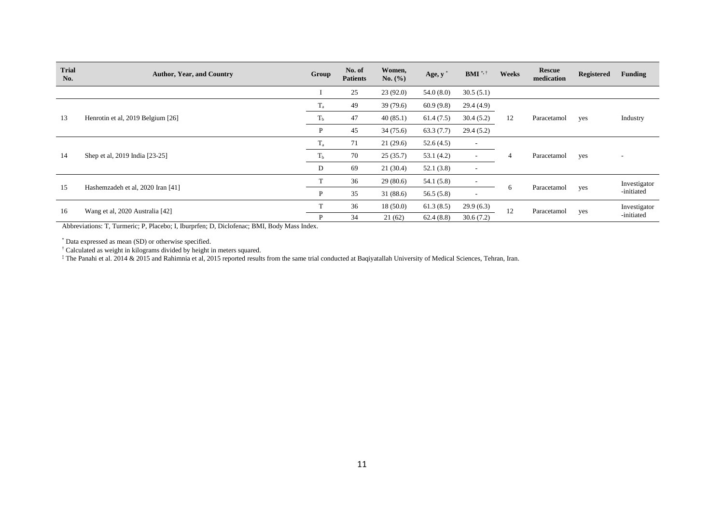| <b>Trial</b><br>No. | <b>Author, Year, and Country</b>  | Group          | No. of<br><b>Patients</b> | Women,<br>No. (%) | Age, y    | $BMI^{\ast, \dagger}$    | Weeks                   | <b>Rescue</b><br>medication | <b>Registered</b> | <b>Funding</b>           |
|---------------------|-----------------------------------|----------------|---------------------------|-------------------|-----------|--------------------------|-------------------------|-----------------------------|-------------------|--------------------------|
|                     |                                   |                | 25                        | 23(92.0)          | 54.0(8.0) | 30.5(5.1)                |                         |                             |                   |                          |
|                     |                                   | $T_{\rm a}$    | 49                        | 39(79.6)          | 60.9(9.8) | 29.4(4.9)                | 12                      | Paracetamol                 | yes               | Industry                 |
| 13                  | Henrotin et al, 2019 Belgium [26] | T <sub>b</sub> | 47                        | 40(85.1)          | 61.4(7.5) | 30.4(5.2)                |                         |                             |                   |                          |
|                     |                                   | P              | 45                        | 34(75.6)          | 63.3(7.7) | 29.4(5.2)                |                         |                             |                   |                          |
|                     | Shep et al, 2019 India [23-25]    | $T_{\rm a}$    | 71                        | 21(29.6)          | 52.6(4.5) | $\overline{\phantom{a}}$ |                         | Paracetamol                 | yes               | $\overline{\phantom{a}}$ |
| 14                  |                                   | T <sub>b</sub> | 70                        | 25(35.7)          | 53.1(4.2) | ۰.                       | 4                       |                             |                   |                          |
|                     |                                   | D              | 69                        | 21(30.4)          | 52.1(3.8) | $\sim$                   |                         |                             |                   |                          |
| 15                  |                                   |                | 36                        | 29(80.6)          | 54.1(5.8) | $\overline{\phantom{a}}$ |                         |                             |                   | Investigator             |
|                     | Hashemzadeh et al, 2020 Iran [41] |                | 35                        | 31(88.6)          | 56.5(5.8) | $\overline{\phantom{a}}$ | Paracetamol<br>$\sigma$ | yes                         | -initiated        |                          |
| 16                  | Wang et al, 2020 Australia [42]   |                | 36                        | 18(50.0)          | 61.3(8.5) | 29.9(6.3)                | 12<br>Paracetamol       |                             |                   | Investigator             |
|                     |                                   |                | 34                        | 21(62)            | 62.4(8.8) | 30.6(7.2)                |                         | yes                         | -initiated        |                          |

Abbreviations: T, Turmeric; P, Placebo; I, Iburprfen; D, Diclofenac; BMI, Body Mass Index.

\* Data expressed as mean (SD) or otherwise specified.

† Calculated as weight in kilograms divided by height in meters squared.

‡ The Panahi et al. 2014 & 2015 and Rahimnia et al, 2015 reported results from the same trial conducted at Baqiyatallah University of Medical Sciences, Tehran, Iran.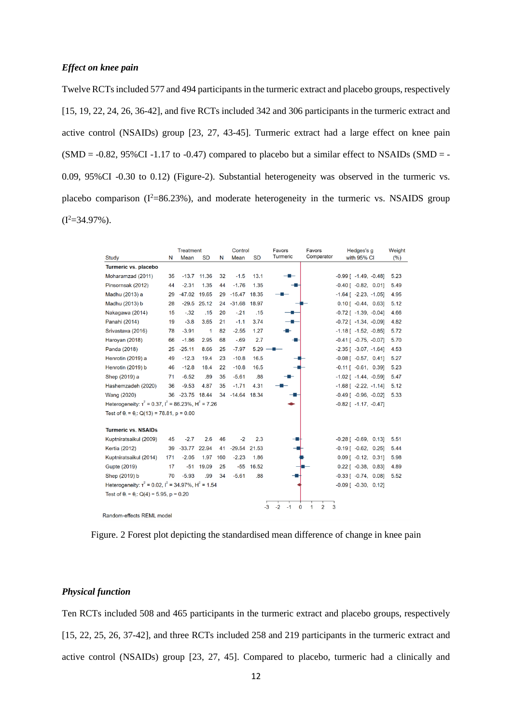Twelve RCTs included 577 and 494 participants in the turmeric extract and placebo groups, respectively [15, 19, 22, 24, 26, 36-42], and five RCTs included 342 and 306 participants in the turmeric extract and active control (NSAIDs) group [23, 27, 43-45]. Turmeric extract had a large effect on knee pain  $(SMD = -0.82, 95\% CI -1.17$  to  $-0.47)$  compared to placebo but a similar effect to NSAIDs  $(SMD = -0.82, 95\% CI -1.17)$ 0.09, 95%CI -0.30 to 0.12) (Figure-2). Substantial heterogeneity was observed in the turmeric vs. placebo comparison  $(I^2=86.23\%)$ , and moderate heterogeneity in the turmeric vs. NSAIDS group  $(I^2=34.97\%)$ .

|                                                                       |     | <b>Treatment</b> |               | Control |                | Favors    | Favors                              | Hedges's g          | Weight                        |      |
|-----------------------------------------------------------------------|-----|------------------|---------------|---------|----------------|-----------|-------------------------------------|---------------------|-------------------------------|------|
| Study                                                                 | N   | Mean             | <b>SD</b>     | N       | Mean           | <b>SD</b> | Turmeric                            | Comparator          | with 95% CI                   | (%)  |
| Turmeric vs. placebo                                                  |     |                  |               |         |                |           |                                     |                     |                               |      |
| Moharamzad (2011)                                                     | 35  |                  | $-13.7$ 11.36 | 32      | $-1.5$         | 13.1      |                                     |                     | $-0.99$ [ $-1.49$ . $-0.48$ ] | 5.23 |
| Pinsornsak (2012)                                                     | 44  | $-2.31$          | 1.35          | 44      | $-1.76$        | 1.35      |                                     |                     | $-0.40$ [ $-0.82$ , 0.01]     | 5.49 |
| Madhu (2013) a                                                        | 29  | -47.02 19.65     |               | 29      | $-15.47$       | 18.35     |                                     |                     | $-1.64$ [ $-2.23$ , $-1.05$ ] | 4.95 |
| Madhu (2013) b                                                        | 28  |                  | $-29.5$ 25.12 | 24      | $-31.68$       | 18.97     |                                     |                     | $0.10$ [ $-0.44$ , $0.63$ ]   | 5.12 |
| Nakagawa (2014)                                                       | 15  | $-.32$           | .15           | 20      | $-.21$         | .15       |                                     |                     | $-0.72$ [ $-1.39$ , $-0.04$ ] | 4.66 |
| Panahi (2014)                                                         | 19  | $-3.8$           | 3.65          | 21      | $-1.1$         | 3.74      |                                     |                     | $-0.72$ [ $-1.34$ , $-0.09$ ] | 4.82 |
| Srivastava (2016)                                                     | 78  | $-3.91$          | 1             | 82      | $-2.55$        | 1.27      |                                     |                     | $-1.18$ [ $-1.52$ , $-0.85$ ] | 5.72 |
| Haroyan (2018)                                                        | 66  | $-1.86$          | 2.95          | 68      | $-.69$         | 2.7       |                                     |                     | $-0.41$ [ $-0.75$ , $-0.07$ ] | 5.70 |
| Panda (2018)                                                          | 25  | $-25.11$         | 8.66          | 25      | $-7.97$        | 5.29      |                                     |                     | $-2.35$ [ $-3.07$ , $-1.64$ ] | 4.53 |
| Henrotin (2019) a                                                     | 49  | $-12.3$          | 19.4          | 23      | $-10.8$        | 16.5      |                                     |                     | $-0.08$ [ $-0.57$ , 0.41]     | 5.27 |
| Henrotin (2019) b                                                     | 46  | $-12.8$          | 18.4          | 22      | $-10.8$        | 16.5      |                                     |                     | $-0.11$ [ $-0.61$ , 0.39]     | 5.23 |
| Shep (2019) a                                                         | 71  | $-6.52$          | .89           | 35      | $-5.61$        | .88       |                                     |                     | $-1.02$ [ $-1.44$ , $-0.59$ ] | 5.47 |
| Hashemzadeh (2020)                                                    | 36  | $-9.53$          | 4.87          | 35      | $-1.71$        | 4.31      |                                     |                     | $-1.68$ [ $-2.22$ , $-1.14$ ] | 5.12 |
| <b>Wang (2020)</b>                                                    |     | 36 -23.75 18.44  |               | 34      | $-14.64$ 18.34 |           |                                     |                     | $-0.49$ [ $-0.96$ , $-0.02$ ] | 5.33 |
| Heterogeneity: $t^2$ = 0.37, $I^2$ = 86.23%, H <sup>2</sup> = 7.26    |     |                  |               |         |                |           |                                     |                     | $-0.82$ [ $-1.17, -0.47$ ]    |      |
| Test of $\theta_i = \theta_i$ : Q(13) = 78.81, p = 0.00               |     |                  |               |         |                |           |                                     |                     |                               |      |
|                                                                       |     |                  |               |         |                |           |                                     |                     |                               |      |
| <b>Turmeric vs. NSAIDs</b>                                            |     |                  |               |         |                |           |                                     |                     |                               |      |
| Kuptniratsaikul (2009)                                                | 45  | $-2.7$           | 2.6           | 46      | $-2$           | 2.3       |                                     |                     | $-0.28$ [ $-0.69$ , 0.13]     | 5.51 |
| Kertia (2012)                                                         | 39  | $-33.77$         | 22.94         | 41      | $-29.54$       | 21.53     |                                     |                     | $-0.19$ [ $-0.62$ , 0.25]     | 5.44 |
| Kuptniratsaikul (2014)                                                | 171 | $-2.05$          | 1.97          | 160     | $-2.23$        | 1.86      |                                     |                     | $0.09$ [ $-0.12$ , $0.31$ ]   | 5.98 |
| Gupte (2019)                                                          | 17  | $-51$            | 19.09         | 25      | $-55$          | 16.52     |                                     |                     | $0.22$ [ $-0.38$ , $0.83$ ]   | 4.89 |
| Shep (2019) b                                                         | 70  | $-5.93$          | .99           | 34      | $-5.61$        | .88       |                                     |                     | $-0.33$ [ $-0.74$ , 0.08]     | 5.52 |
| Heterogeneity: $\tau^2$ = 0.02, $I^2$ = 34.97%, H <sup>2</sup> = 1.54 |     |                  |               |         |                |           |                                     |                     | $-0.09$ [ $-0.30$ , 0.12]     |      |
| Test of $\theta_i = \theta_i$ : Q(4) = 5.95, p = 0.20                 |     |                  |               |         |                |           |                                     |                     |                               |      |
|                                                                       |     |                  |               |         |                |           | $-3$<br>$-2$<br>$\mathbf 0$<br>$-1$ | $\overline{2}$<br>1 | 3                             |      |
| Random-effects REML model                                             |     |                  |               |         |                |           |                                     |                     |                               |      |

Figure. 2 Forest plot depicting the standardised mean difference of change in knee pain

## *Physical function*

Ten RCTs included 508 and 465 participants in the turmeric extract and placebo groups, respectively [15, 22, 25, 26, 37-42], and three RCTs included 258 and 219 participants in the turmeric extract and active control (NSAIDs) group [23, 27, 45]. Compared to placebo, turmeric had a clinically and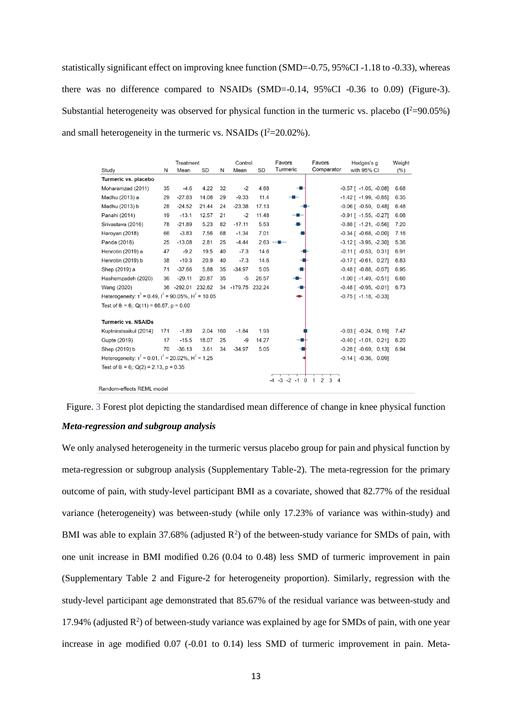statistically significant effect on improving knee function (SMD=-0.75, 95%CI -1.18 to -0.33), whereas there was no difference compared to NSAIDs (SMD=-0.14, 95%CI -0.36 to 0.09) (Figure-3). Substantial heterogeneity was observed for physical function in the turmeric vs. placebo  $(I^2=90.05\%)$ and small heterogeneity in the turmeric vs. NSAIDs  $(I^2=20.02\%)$ .

|                                                                       |     | <b>Treatment</b>  |           |     | Control           |           | Favors                | Favors           | Hedges's g                    | Weight  |
|-----------------------------------------------------------------------|-----|-------------------|-----------|-----|-------------------|-----------|-----------------------|------------------|-------------------------------|---------|
| Study                                                                 | N   | Mean              | <b>SD</b> | N   | Mean              | <b>SD</b> | Turmeric              | Comparator       | with 95% CI                   | $(\% )$ |
| Turmeric vs. placebo                                                  |     |                   |           |     |                   |           |                       |                  |                               |         |
| Moharamzad (2011)                                                     | 35  | $-4.6$            | 4.22      | 32  | $-2$              | 4.88      |                       |                  | $-0.57$ [ $-1.05$ , $-0.08$ ] | 6.68    |
| Madhu (2013) a                                                        | 29  | $-27.83$          | 14.08     | 29  | $-9.33$           | 11.4      |                       |                  | $-1.42$ [ $-1.99$ , $-0.85$ ] | 6.35    |
| Madhu (2013) b                                                        | 28  | $-24.52$          | 21.44     | 24  | $-23.38$          | 17.13     |                       |                  | $-0.06$ [ $-0.59$ , 0.48]     | 6.48    |
| Panahi (2014)                                                         | 19  | $-13.1$           | 12.57     | 21  | $-2$              | 11.48     |                       |                  | $-0.91$ [ $-1.55$ , $-0.27$ ] | 6.08    |
| Srivastava (2016)                                                     | 78  | $-21.89$          | 5.23      | 82  | $-17.11$          | 5.53      |                       |                  | $-0.88$ [ $-1.21$ , $-0.56$ ] | 7.20    |
| Haroyan (2018)                                                        | 66  | $-3.83$           | 7.56      | 68  | $-1.34$           | 7.01      |                       |                  | $-0.34$ [ $-0.68$ , $-0.00$ ] | 7.16    |
| Panda (2018)                                                          | 25  | $-13.08$          | 2.81      | 25  | $-4.44$           |           | $2.63$ –              |                  | $-3.12$ [ $-3.95$ , $-2.30$ ] | 5.36    |
| Henrotin (2019) a                                                     | 47  | $-9.2$            | 19.5      | 40  | $-7.3$            | 14.6      |                       |                  | $-0.11$ [ $-0.53$ , 0.31]     | 6.91    |
| Henrotin (2019) b                                                     | 38  | $-10.3$           | 20.9      | 40  | $-7.3$            | 14.6      |                       |                  | $-0.17$ [ $-0.61$ , 0.27]     | 6.83    |
| Shep (2019) a                                                         | 71  | $-37.66$          | 5.88      | 35  | $-34.97$          | 5.05      |                       |                  | $-0.48$ [ $-0.88$ , $-0.07$ ] | 6.95    |
| Hashemzadeh (2020)                                                    | 36  | $-29.11$          | 20.87     | 35  | $-5$              | 26.57     |                       |                  | $-1.00$ [ $-1.49$ , $-0.51$ ] | 6.66    |
| Wang (2020)                                                           |     | 36 -292.01 232.62 |           |     | 34 -179.75 232.24 |           |                       |                  | $-0.48$ [ $-0.95$ , $-0.01$ ] | 6.73    |
| Heterogeneity: $t^2 = 0.49$ , $t^2 = 90.05\%$ , $H^2 = 10.05$         |     |                   |           |     |                   |           |                       |                  | $-0.75$ [ $-1.18$ , $-0.33$ ] |         |
| Test of $\theta_i = \theta_i$ : Q(11) = 66.67, p = 0.00               |     |                   |           |     |                   |           |                       |                  |                               |         |
|                                                                       |     |                   |           |     |                   |           |                       |                  |                               |         |
| <b>Turmeric vs. NSAIDs</b>                                            |     |                   |           |     |                   |           |                       |                  |                               |         |
| Kuptniratsaikul (2014)                                                | 171 | $-1.89$           | 2.04      | 160 | $-1.84$           | 1.93      |                       |                  | $-0.03$ [ $-0.24$ , 0.19]     | 7.47    |
| Gupte (2019)                                                          | 17  | $-15.5$           | 18.07     | 25  | -9                | 14.27     |                       |                  | $-0.40$ [ $-1.01$ , 0.21]     | 6.20    |
| Shep (2019) b                                                         | 70  | $-36.13$          | 3.61      | 34  | $-34.97$          | 5.05      |                       |                  | $-0.28$ [ $-0.69$ , 0.13]     | 6.94    |
| Heterogeneity: $\tau^2$ = 0.01, $I^2$ = 20.02%, H <sup>2</sup> = 1.25 |     |                   |           |     |                   |           |                       |                  | $-0.14$ [ $-0.36$ , 0.09]     |         |
| Test of $\theta_1 = \theta_1$ : Q(2) = 2.13, p = 0.35                 |     |                   |           |     |                   |           |                       |                  |                               |         |
|                                                                       |     |                   |           |     |                   |           | $-3$<br>$-2 - 1$<br>0 | 2<br>1<br>3<br>4 |                               |         |
| Random-effects REML model                                             |     |                   |           |     |                   |           |                       |                  |                               |         |

Figure. 3 Forest plot depicting the standardised mean difference of change in knee physical function *Meta-regression and subgroup analysis*

We only analysed heterogeneity in the turmeric versus placebo group for pain and physical function by meta-regression or subgroup analysis (Supplementary Table-2). The meta-regression for the primary outcome of pain, with study-level participant BMI as a covariate, showed that 82.77% of the residual variance (heterogeneity) was between-study (while only 17.23% of variance was within-study) and BMI was able to explain 37.68% (adjusted  $R^2$ ) of the between-study variance for SMDs of pain, with one unit increase in BMI modified 0.26 (0.04 to 0.48) less SMD of turmeric improvement in pain (Supplementary Table 2 and Figure-2 for heterogeneity proportion). Similarly, regression with the study-level participant age demonstrated that 85.67% of the residual variance was between-study and 17.94% (adjusted  $R^2$ ) of between-study variance was explained by age for SMDs of pain, with one year increase in age modified 0.07 (-0.01 to 0.14) less SMD of turmeric improvement in pain. Meta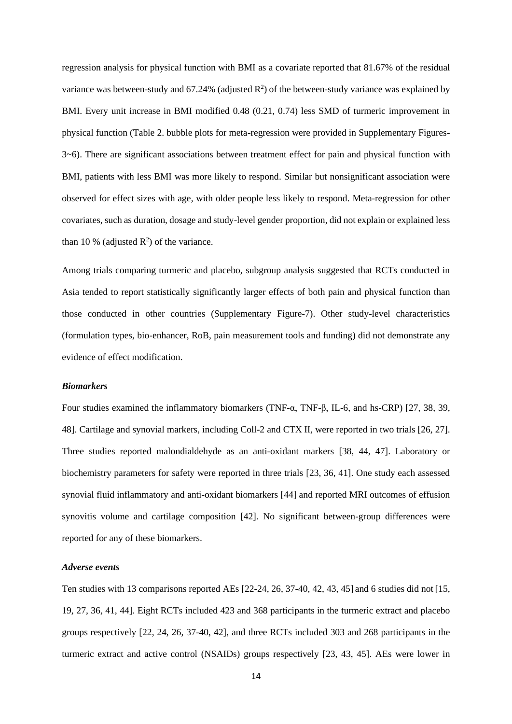regression analysis for physical function with BMI as a covariate reported that 81.67% of the residual variance was between-study and 67.24% (adjusted  $\mathbb{R}^2$ ) of the between-study variance was explained by BMI. Every unit increase in BMI modified 0.48 (0.21, 0.74) less SMD of turmeric improvement in physical function (Table 2. bubble plots for meta-regression were provided in Supplementary Figures-3~6). There are significant associations between treatment effect for pain and physical function with BMI, patients with less BMI was more likely to respond. Similar but nonsignificant association were observed for effect sizes with age, with older people less likely to respond. Meta-regression for other covariates, such as duration, dosage and study-level gender proportion, did not explain or explained less than 10 % (adjusted  $\mathbb{R}^2$ ) of the variance.

Among trials comparing turmeric and placebo, subgroup analysis suggested that RCTs conducted in Asia tended to report statistically significantly larger effects of both pain and physical function than those conducted in other countries (Supplementary Figure-7). Other study-level characteristics (formulation types, bio-enhancer, RoB, pain measurement tools and funding) did not demonstrate any evidence of effect modification.

#### *Biomarkers*

Four studies examined the inflammatory biomarkers (TNF-α, TNF-β, IL-6, and hs-CRP) [27, 38, 39, 48]. Cartilage and synovial markers, including Coll-2 and CTX II, were reported in two trials [26, 27]. Three studies reported malondialdehyde as an anti-oxidant markers [38, 44, 47]. Laboratory or biochemistry parameters for safety were reported in three trials [23, 36, 41]. One study each assessed synovial fluid inflammatory and anti-oxidant biomarkers [44] and reported MRI outcomes of effusion synovitis volume and cartilage composition [42]. No significant between-group differences were reported for any of these biomarkers.

#### *Adverse events*

Ten studies with 13 comparisons reported AEs [22-24, 26, 37-40, 42, 43, 45] and 6 studies did not [15, 19, 27, 36, 41, 44]. Eight RCTs included 423 and 368 participants in the turmeric extract and placebo groups respectively [22, 24, 26, 37-40, 42], and three RCTs included 303 and 268 participants in the turmeric extract and active control (NSAIDs) groups respectively [23, 43, 45]. AEs were lower in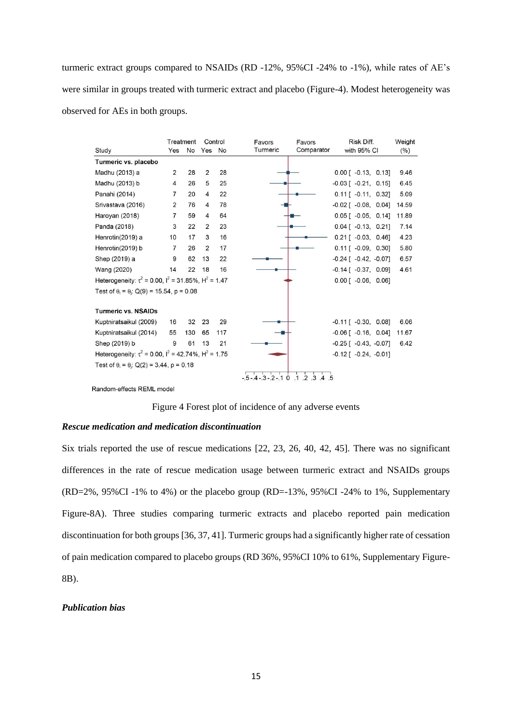turmeric extract groups compared to NSAIDs (RD -12%, 95%CI -24% to -1%), while rates of AE's were similar in groups treated with turmeric extract and placebo (Figure-4). Modest heterogeneity was observed for AEs in both groups.

|                                                                       | Treatment      |     | Control        |     | Favors                | Favors                                   | Risk Diff.                    | Weight |  |
|-----------------------------------------------------------------------|----------------|-----|----------------|-----|-----------------------|------------------------------------------|-------------------------------|--------|--|
| Study                                                                 | Yes            | No  | Yes            | No  | Turmeric              | Comparator                               | with 95% CI                   | (%)    |  |
| Turmeric vs. placebo                                                  |                |     |                |     |                       |                                          |                               |        |  |
| Madhu (2013) a                                                        | 2              | 28  | $\overline{2}$ | 28  |                       |                                          | $0.00$ [ $-0.13$ , $0.13$ ]   | 9.46   |  |
| Madhu (2013) b                                                        | $\overline{4}$ | 26  | 5              | 25  |                       |                                          | $-0.03$ [ $-0.21$ , 0.15]     | 6.45   |  |
| Panahi (2014)                                                         | 7              | 20  | $\overline{4}$ | 22  |                       |                                          | $0.11$ [ $-0.11$ , $0.32$ ]   | 5.09   |  |
| Srivastava (2016)                                                     | $\overline{2}$ | 76  | $\overline{4}$ | 78  |                       |                                          | $-0.02$ [ $-0.08$ , 0.04]     | 14.59  |  |
| Haroyan (2018)                                                        | $\overline{7}$ | 59  | $\overline{4}$ | 64  |                       |                                          | $0.05$ [ $-0.05$ , 0.14]      | 11.89  |  |
| Panda (2018)                                                          | 3              | 22  | 2              | 23  |                       |                                          | $0.04$ [ $-0.13$ , 0.21]      | 7.14   |  |
| Henrotin(2019) a                                                      | 10             | 17  | 3              | 16  |                       |                                          | $0.21$ [ $-0.03$ , $0.46$ ]   | 4.23   |  |
| Henrotin(2019) b                                                      | $\overline{7}$ | 26  | $\overline{2}$ | 17  |                       |                                          | $0.11$ [ $-0.09$ , $0.30$ ]   | 5.80   |  |
| Shep (2019) a                                                         | 9              | 62  | 13             | 22  |                       |                                          | $-0.24$ [ $-0.42$ , $-0.07$ ] | 6.57   |  |
| Wang (2020)                                                           | 14             | 22  | 18             | 16  |                       |                                          | $-0.14$ [ $-0.37$ , 0.09]     | 4.61   |  |
| Heterogeneity: $\tau^2$ = 0.00, $I^2$ = 31.85%, H <sup>2</sup> = 1.47 |                |     |                |     |                       |                                          | $0.00$ [ $-0.06$ , $0.06$ ]   |        |  |
| Test of $\theta_1 = \theta_1$ : Q(9) = 15.54, p = 0.08                |                |     |                |     |                       |                                          |                               |        |  |
|                                                                       |                |     |                |     |                       |                                          |                               |        |  |
| <b>Turmeric vs. NSAIDs</b>                                            |                |     |                |     |                       |                                          |                               |        |  |
| Kuptniratsaikul (2009)                                                | 16             | 32  | 23             | 29  |                       |                                          | $-0.11$ [ $-0.30$ , 0.08]     | 6.06   |  |
| Kuptniratsaikul (2014)                                                | 55             | 130 | 65             | 117 |                       |                                          | $-0.06$ [ $-0.16$ , 0.04]     | 11.67  |  |
| Shep (2019) b                                                         | 9              | 61  | 13             | 21  |                       |                                          | $-0.25$ [ $-0.43$ , $-0.07$ ] | 6.42   |  |
| Heterogeneity: $\tau^2$ = 0.00, $I^2$ = 42.74%, $H^2$ = 1.75          |                |     |                |     |                       |                                          | $-0.12$ [ $-0.24$ , $-0.01$ ] |        |  |
| Test of $\theta_i = \theta_i$ : Q(2) = 3.44, p = 0.18                 |                |     |                |     |                       |                                          |                               |        |  |
|                                                                       |                |     |                |     | $-5 - 4 - 3 - 2 - 10$ | $.1 \cdot .2 \cdot .3 \cdot .4 \cdot .5$ |                               |        |  |

Random-effects REML model

Figure 4 Forest plot of incidence of any adverse events

#### *Rescue medication and medication discontinuation*

Six trials reported the use of rescue medications [22, 23, 26, 40, 42, 45]. There was no significant differences in the rate of rescue medication usage between turmeric extract and NSAIDs groups (RD=2%, 95%CI -1% to 4%) or the placebo group (RD=-13%, 95%CI -24% to 1%, Supplementary Figure-8A). Three studies comparing turmeric extracts and placebo reported pain medication discontinuation for both groups [36, 37, 41]. Turmeric groups had a significantly higher rate of cessation of pain medication compared to placebo groups (RD 36%, 95%CI 10% to 61%, Supplementary Figure-8B).

#### *Publication bias*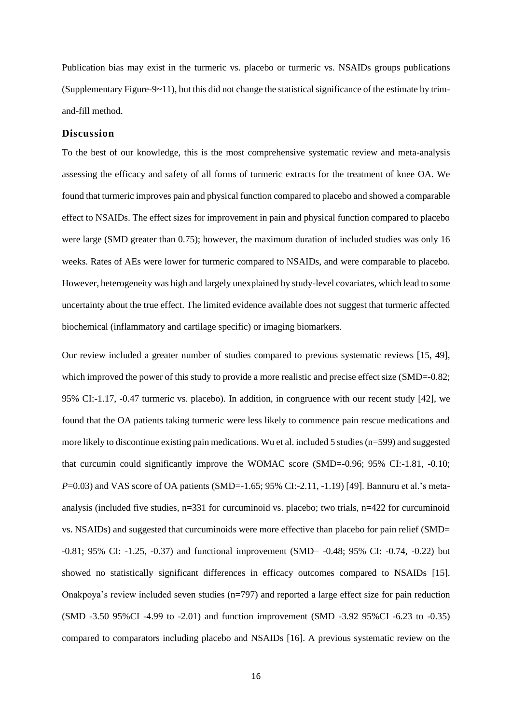Publication bias may exist in the turmeric vs. placebo or turmeric vs. NSAIDs groups publications (Supplementary Figure-9 $\sim$ 11), but this did not change the statistical significance of the estimate by trimand-fill method.

## **Discussion**

To the best of our knowledge, this is the most comprehensive systematic review and meta-analysis assessing the efficacy and safety of all forms of turmeric extracts for the treatment of knee OA. We found that turmeric improves pain and physical function compared to placebo and showed a comparable effect to NSAIDs. The effect sizes for improvement in pain and physical function compared to placebo were large (SMD greater than 0.75); however, the maximum duration of included studies was only 16 weeks. Rates of AEs were lower for turmeric compared to NSAIDs, and were comparable to placebo. However, heterogeneity was high and largely unexplained by study-level covariates, which lead to some uncertainty about the true effect. The limited evidence available does not suggest that turmeric affected biochemical (inflammatory and cartilage specific) or imaging biomarkers.

Our review included a greater number of studies compared to previous systematic reviews [15, 49], which improved the power of this study to provide a more realistic and precise effect size (SMD=-0.82; 95% CI:-1.17, -0.47 turmeric vs. placebo). In addition, in congruence with our recent study [42], we found that the OA patients taking turmeric were less likely to commence pain rescue medications and more likely to discontinue existing pain medications. Wu et al. included 5 studies (n=599) and suggested that curcumin could significantly improve the WOMAC score (SMD=-0.96; 95% CI:-1.81, -0.10; *P*=0.03) and VAS score of OA patients (SMD=-1.65; 95% CI:-2.11, -1.19) [49]. Bannuru et al.'s metaanalysis (included five studies, n=331 for curcuminoid vs. placebo; two trials, n=422 for curcuminoid vs. NSAIDs) and suggested that curcuminoids were more effective than placebo for pain relief (SMD= -0.81; 95% CI: -1.25, -0.37) and functional improvement (SMD= -0.48; 95% CI: -0.74, -0.22) but showed no statistically significant differences in efficacy outcomes compared to NSAIDs [15]. Onakpoya's review included seven studies (n=797) and reported a large effect size for pain reduction (SMD -3.50 95%CI -4.99 to -2.01) and function improvement (SMD -3.92 95%CI -6.23 to -0.35) compared to comparators including placebo and NSAIDs [16]. A previous systematic review on the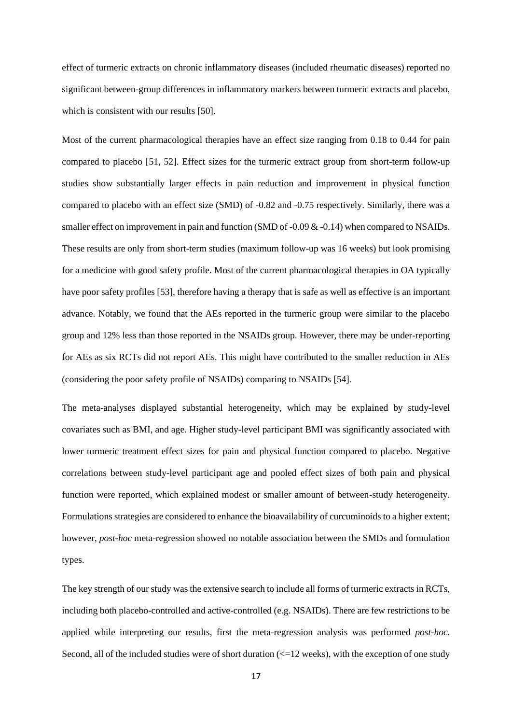effect of turmeric extracts on chronic inflammatory diseases (included rheumatic diseases) reported no significant between-group differences in inflammatory markers between turmeric extracts and placebo, which is consistent with our results [50].

Most of the current pharmacological therapies have an effect size ranging from 0.18 to 0.44 for pain compared to placebo [51, 52]. Effect sizes for the turmeric extract group from short-term follow-up studies show substantially larger effects in pain reduction and improvement in physical function compared to placebo with an effect size (SMD) of -0.82 and -0.75 respectively. Similarly, there was a smaller effect on improvement in pain and function (SMD of -0.09 & -0.14) when compared to NSAIDs. These results are only from short-term studies (maximum follow-up was 16 weeks) but look promising for a medicine with good safety profile. Most of the current pharmacological therapies in OA typically have poor safety profiles [53], therefore having a therapy that is safe as well as effective is an important advance. Notably, we found that the AEs reported in the turmeric group were similar to the placebo group and 12% less than those reported in the NSAIDs group. However, there may be under-reporting for AEs as six RCTs did not report AEs. This might have contributed to the smaller reduction in AEs (considering the poor safety profile of NSAIDs) comparing to NSAIDs [54].

The meta-analyses displayed substantial heterogeneity, which may be explained by study-level covariates such as BMI, and age. Higher study-level participant BMI was significantly associated with lower turmeric treatment effect sizes for pain and physical function compared to placebo. Negative correlations between study-level participant age and pooled effect sizes of both pain and physical function were reported, which explained modest or smaller amount of between-study heterogeneity. Formulations strategies are considered to enhance the bioavailability of curcuminoids to a higher extent; however, *post-hoc* meta-regression showed no notable association between the SMDs and formulation types.

The key strength of our study was the extensive search to include all forms of turmeric extracts in RCTs, including both placebo-controlled and active-controlled (e.g. NSAIDs). There are few restrictions to be applied while interpreting our results, first the meta-regression analysis was performed *post-hoc.* Second, all of the included studies were of short duration  $\ll$  =12 weeks), with the exception of one study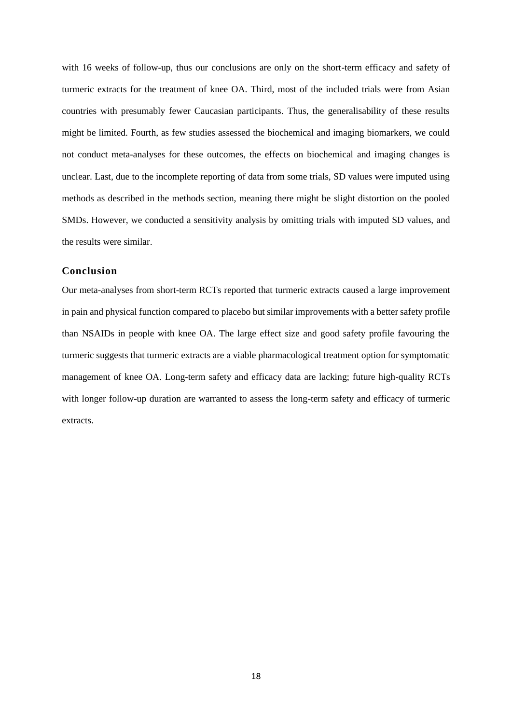with 16 weeks of follow-up, thus our conclusions are only on the short-term efficacy and safety of turmeric extracts for the treatment of knee OA. Third, most of the included trials were from Asian countries with presumably fewer Caucasian participants. Thus, the generalisability of these results might be limited. Fourth, as few studies assessed the biochemical and imaging biomarkers, we could not conduct meta-analyses for these outcomes, the effects on biochemical and imaging changes is unclear. Last, due to the incomplete reporting of data from some trials, SD values were imputed using methods as described in the methods section, meaning there might be slight distortion on the pooled SMDs. However, we conducted a sensitivity analysis by omitting trials with imputed SD values, and the results were similar.

## **Conclusion**

Our meta-analyses from short-term RCTs reported that turmeric extracts caused a large improvement in pain and physical function compared to placebo but similar improvements with a better safety profile than NSAIDs in people with knee OA. The large effect size and good safety profile favouring the turmeric suggests that turmeric extracts are a viable pharmacological treatment option for symptomatic management of knee OA. Long-term safety and efficacy data are lacking; future high-quality RCTs with longer follow-up duration are warranted to assess the long-term safety and efficacy of turmeric extracts.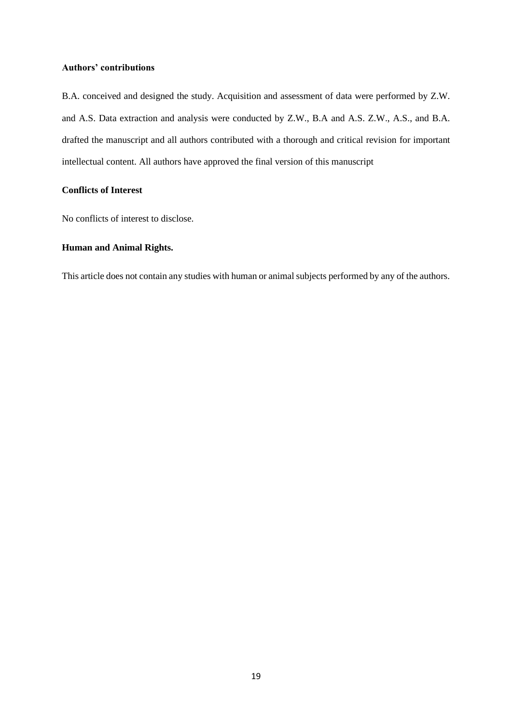## **Authors' contributions**

B.A. conceived and designed the study. Acquisition and assessment of data were performed by Z.W. and A.S. Data extraction and analysis were conducted by Z.W., B.A and A.S. Z.W., A.S., and B.A. drafted the manuscript and all authors contributed with a thorough and critical revision for important intellectual content. All authors have approved the final version of this manuscript

## **Conflicts of Interest**

No conflicts of interest to disclose.

## **Human and Animal Rights.**

This article does not contain any studies with human or animal subjects performed by any of the authors.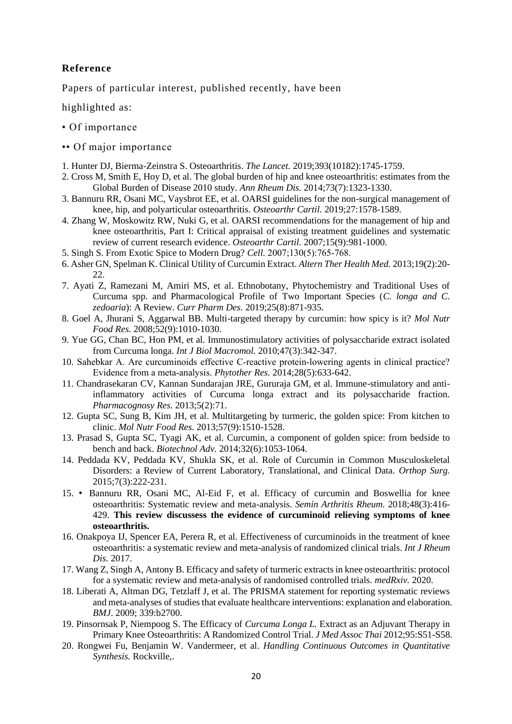# **Reference**

Papers of particular interest, published recently, have been

highlighted as:

- Of importance
- •• Of major importance
- 1. Hunter DJ, Bierma-Zeinstra S. Osteoarthritis. *The Lancet.* 2019;393(10182):1745-1759.
- 2. Cross M, Smith E, Hoy D, et al. The global burden of hip and knee osteoarthritis: estimates from the Global Burden of Disease 2010 study. *Ann Rheum Dis.* 2014;73(7):1323-1330.
- 3. Bannuru RR, Osani MC, Vaysbrot EE, et al. OARSI guidelines for the non-surgical management of knee, hip, and polyarticular osteoarthritis. *Osteoarthr Cartil.* 2019;27:1578-1589.
- 4. Zhang W, Moskowitz RW, Nuki G, et al. OARSI recommendations for the management of hip and knee osteoarthritis, Part I: Critical appraisal of existing treatment guidelines and systematic review of current research evidence. *Osteoarthr Cartil.* 2007;15(9):981-1000.
- 5. Singh S. From Exotic Spice to Modern Drug? *Cell.* 2007;130(5):765‐768.
- 6. Asher GN, Spelman K. Clinical Utility of Curcumin Extract. *Altern Ther Health Med.* 2013;19(2):20- 22.
- 7. Ayati Z, Ramezani M, Amiri MS, et al. Ethnobotany, Phytochemistry and Traditional Uses of Curcuma spp. and Pharmacological Profile of Two Important Species (*C. longa and C. zedoaria*): A Review. *Curr Pharm Des.* 2019;25(8):871-935.
- 8. Goel A, Jhurani S, Aggarwal BB. Multi-targeted therapy by curcumin: how spicy is it? *Mol Nutr Food Res.* 2008;52(9):1010-1030.
- 9. Yue GG, Chan BC, Hon PM, et al. Immunostimulatory activities of polysaccharide extract isolated from Curcuma longa. *Int J Biol Macromol.* 2010;47(3):342-347.
- 10. Sahebkar A. Are curcuminoids effective C-reactive protein-lowering agents in clinical practice? Evidence from a meta‐analysis. *Phytother Res.* 2014;28(5):633-642.
- 11. Chandrasekaran CV, Kannan Sundarajan JRE, Gururaja GM, et al. Immune-stimulatory and antiinflammatory activities of Curcuma longa extract and its polysaccharide fraction. *Pharmacognosy Res.* 2013;5(2):71.
- 12. Gupta SC, Sung B, Kim JH, et al. Multitargeting by turmeric, the golden spice: From kitchen to clinic. *Mol Nutr Food Res.* 2013;57(9):1510-1528.
- 13. Prasad S, Gupta SC, Tyagi AK, et al. Curcumin, a component of golden spice: from bedside to bench and back. *Biotechnol Adv.* 2014;32(6):1053-1064.
- 14. Peddada KV, Peddada KV, Shukla SK, et al. Role of Curcumin in Common Musculoskeletal Disorders: a Review of Current Laboratory, Translational, and Clinical Data. *Orthop Surg.*  2015;7(3):222-231.
- 15. Bannuru RR, Osani MC, Al-Eid F, et al. Efficacy of curcumin and Boswellia for knee osteoarthritis: Systematic review and meta-analysis. *Semin Arthritis Rheum.* 2018;48(3):416- 429. **This review discussess the evidence of curcuminoid relieving symptoms of knee osteoarthritis.**
- 16. Onakpoya IJ, Spencer EA, Perera R, et al. Effectiveness of curcuminoids in the treatment of knee osteoarthritis: a systematic review and meta-analysis of randomized clinical trials. *Int J Rheum Dis.* 2017.
- 17. Wang Z, Singh A, Antony B. Efficacy and safety of turmeric extracts in knee osteoarthritis: protocol for a systematic review and meta-analysis of randomised controlled trials. *medRxiv.* 2020.
- 18. Liberati A, Altman DG, Tetzlaff J, et al. The PRISMA statement for reporting systematic reviews and meta-analyses of studies that evaluate healthcare interventions: explanation and elaboration. *BMJ*. 2009; 339:b2700.
- 19. Pinsornsak P, Niempoog S. The Efficacy of *Curcuma Longa L.* Extract as an Adjuvant Therapy in Primary Knee Osteoarthritis: A Randomized Control Trial. *J Med Assoc Thai* 2012;95:S51-S58.
- 20. Rongwei Fu, Benjamin W. Vandermeer, et al. *Handling Continuous Outcomes in Quantitative Synthesis.* Rockville,.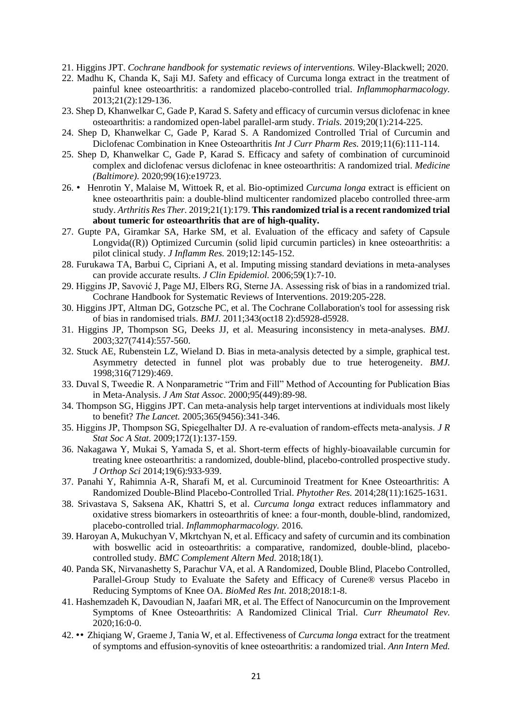- 21. Higgins JPT. *Cochrane handbook for systematic reviews of interventions.* Wiley-Blackwell; 2020.
- 22. Madhu K, Chanda K, Saji MJ. Safety and efficacy of Curcuma longa extract in the treatment of painful knee osteoarthritis: a randomized placebo-controlled trial. *Inflammopharmacology.*  2013;21(2):129-136.
- 23. Shep D, Khanwelkar C, Gade P, Karad S. Safety and efficacy of curcumin versus diclofenac in knee osteoarthritis: a randomized open-label parallel-arm study. *Trials.* 2019;20(1):214-225.
- 24. Shep D, Khanwelkar C, Gade P, Karad S. A Randomized Controlled Trial of Curcumin and Diclofenac Combination in Knee Osteoarthritis *Int J Curr Pharm Res.* 2019;11(6):111-114.
- 25. Shep D, Khanwelkar C, Gade P, Karad S. Efficacy and safety of combination of curcuminoid complex and diclofenac versus diclofenac in knee osteoarthritis: A randomized trial. *Medicine (Baltimore).* 2020;99(16):e19723.
- 26. Henrotin Y, Malaise M, Wittoek R, et al. Bio-optimized *Curcuma longa* extract is efficient on knee osteoarthritis pain: a double-blind multicenter randomized placebo controlled three-arm study. *Arthritis Res Ther.* 2019;21(1):179. **This randomized trial is a recent randomized trial about tumeric for osteoarthritis that are of high-quality.**
- 27. Gupte PA, Giramkar SA, Harke SM, et al. Evaluation of the efficacy and safety of Capsule Longvida((R)) Optimized Curcumin (solid lipid curcumin particles) in knee osteoarthritis: a pilot clinical study. *J Inflamm Res.* 2019;12:145-152.
- 28. Furukawa TA, Barbui C, Cipriani A, et al. Imputing missing standard deviations in meta-analyses can provide accurate results. *J Clin Epidemiol.* 2006;59(1):7-10.
- 29. Higgins JP, Savović J, Page MJ, Elbers RG, Sterne JA. Assessing risk of bias in a randomized trial. Cochrane Handbook for Systematic Reviews of Interventions. 2019:205-228.
- 30. Higgins JPT, Altman DG, Gotzsche PC, et al. The Cochrane Collaboration's tool for assessing risk of bias in randomised trials. *BMJ.* 2011;343(oct18 2):d5928-d5928.
- 31. Higgins JP, Thompson SG, Deeks JJ, et al. Measuring inconsistency in meta-analyses. *BMJ.*  2003;327(7414):557-560.
- 32. Stuck AE, Rubenstein LZ, Wieland D. Bias in meta-analysis detected by a simple, graphical test. Asymmetry detected in funnel plot was probably due to true heterogeneity. *BMJ.*  1998;316(7129):469.
- 33. Duval S, Tweedie R. A Nonparametric "Trim and Fill" Method of Accounting for Publication Bias in Meta-Analysis. *J Am Stat Assoc.* 2000;95(449):89-98.
- 34. Thompson SG, Higgins JPT. Can meta-analysis help target interventions at individuals most likely to benefit? *The Lancet.* 2005;365(9456):341-346.
- 35. Higgins JP, Thompson SG, Spiegelhalter DJ. A re‐evaluation of random‐effects meta‐analysis. *J R Stat Soc A Stat.* 2009;172(1):137-159.
- 36. Nakagawa Y, Mukai S, Yamada S, et al. Short-term effects of highly-bioavailable curcumin for treating knee osteoarthritis: a randomized, double-blind, placebo-controlled prospective study. *J Orthop Sci* 2014;19(6):933-939.
- 37. Panahi Y, Rahimnia A-R, Sharafi M, et al. Curcuminoid Treatment for Knee Osteoarthritis: A Randomized Double-Blind Placebo-Controlled Trial. *Phytother Res.* 2014;28(11):1625-1631.
- 38. Srivastava S, Saksena AK, Khattri S, et al. *Curcuma longa* extract reduces inflammatory and oxidative stress biomarkers in osteoarthritis of knee: a four-month, double-blind, randomized, placebo-controlled trial. *Inflammopharmacology.* 2016.
- 39. Haroyan A, Mukuchyan V, Mkrtchyan N, et al. Efficacy and safety of curcumin and its combination with boswellic acid in osteoarthritis: a comparative, randomized, double-blind, placebocontrolled study. *BMC Complement Altern Med.* 2018;18(1).
- 40. Panda SK, Nirvanashetty S, Parachur VA, et al. A Randomized, Double Blind, Placebo Controlled, Parallel-Group Study to Evaluate the Safety and Efficacy of Curene® versus Placebo in Reducing Symptoms of Knee OA. *BioMed Res Int.* 2018;2018:1-8.
- 41. Hashemzadeh K, Davoudian N, Jaafari MR, et al. The Effect of Nanocurcumin on the Improvement Symptoms of Knee Osteoarthritis: A Randomized Clinical Trial. *Curr Rheumatol Rev.*  2020;16:0-0.
- 42. •• Zhiqiang W, Graeme J, Tania W, et al. Effectiveness of *Curcuma longa* extract for the treatment of symptoms and effusion-synovitis of knee osteoarthritis: a randomized trial. *Ann Intern Med.*